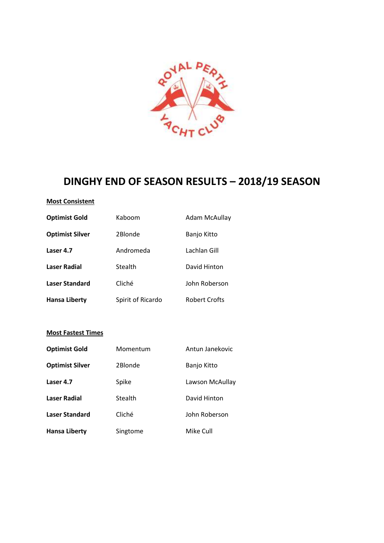

# **DINGHY END OF SEASON RESULTS – 2018/19 SEASON**

## **Most Consistent**

| <b>Optimist Gold</b>   | Kaboom            | Adam McAullay        |
|------------------------|-------------------|----------------------|
| <b>Optimist Silver</b> | 2Blonde           | Banjo Kitto          |
| Laser 4.7              | Andromeda         | Lachlan Gill         |
| Laser Radial           | Stealth           | David Hinton         |
| <b>Laser Standard</b>  | Cliché            | John Roberson        |
| <b>Hansa Liberty</b>   | Spirit of Ricardo | <b>Robert Crofts</b> |

## **Most Fastest Times**

| <b>Optimist Gold</b>   | Momentum | Antun Janekovic |
|------------------------|----------|-----------------|
| <b>Optimist Silver</b> | 2Blonde  | Banjo Kitto     |
| Laser 4.7              | Spike    | Lawson McAullay |
| Laser Radial           | Stealth  | David Hinton    |
| Laser Standard         | Cliché   | John Roberson   |
| <b>Hansa Liberty</b>   | Singtome | Mike Cull       |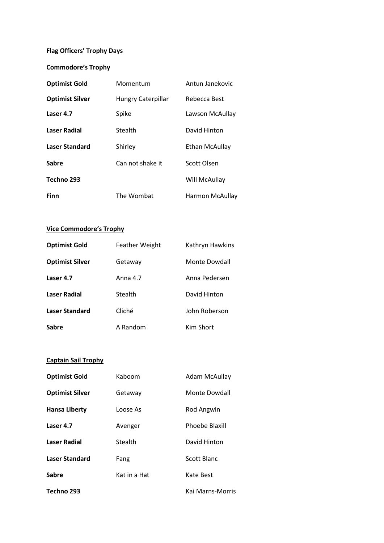# **Flag Officers' Trophy Days**

## **Commodore's Trophy**

| <b>Optimist Gold</b>   | Momentum                  | Antun Janekovic       |
|------------------------|---------------------------|-----------------------|
| <b>Optimist Silver</b> | <b>Hungry Caterpillar</b> | Rebecca Best          |
| Laser 4.7              | Spike                     | Lawson McAullay       |
| Laser Radial           | Stealth                   | David Hinton          |
| Laser Standard         | Shirley                   | <b>Ethan McAullay</b> |
| <b>Sabre</b>           | Can not shake it          | Scott Olsen           |
| Techno 293             |                           | Will McAullay         |
| <b>Finn</b>            | The Wombat                | Harmon McAullay       |

## **Vice Commodore's Trophy**

| <b>Optimist Gold</b>   | <b>Feather Weight</b> | Kathryn Hawkins |
|------------------------|-----------------------|-----------------|
| <b>Optimist Silver</b> | Getaway               | Monte Dowdall   |
| Laser 4.7              | Anna 4.7              | Anna Pedersen   |
| Laser Radial           | Stealth               | David Hinton    |
| <b>Laser Standard</b>  | Cliché                | John Roberson   |
| Sabre                  | A Random              | Kim Short       |

# **Captain Sail Trophy**

| <b>Optimist Gold</b>   | Kaboom       | Adam McAullay      |
|------------------------|--------------|--------------------|
| <b>Optimist Silver</b> | Getaway      | Monte Dowdall      |
| <b>Hansa Liberty</b>   | Loose As     | Rod Angwin         |
| Laser 4.7              | Avenger      | Phoebe Blaxill     |
| <b>Laser Radial</b>    | Stealth      | David Hinton       |
| <b>Laser Standard</b>  | Fang         | <b>Scott Blanc</b> |
| Sabre                  | Kat in a Hat | Kate Best          |
| Techno 293             |              | Kai Marns-Morris   |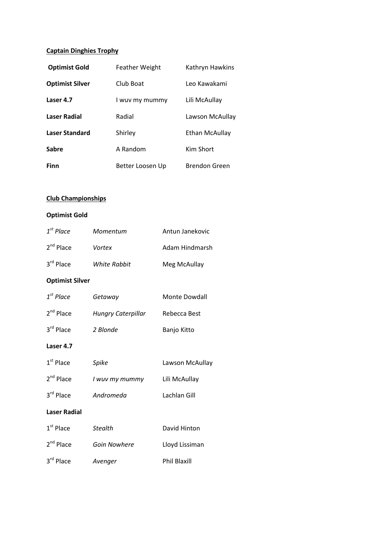# **Captain Dinghies Trophy**

| <b>Optimist Gold</b>   | <b>Feather Weight</b> | Kathryn Hawkins |
|------------------------|-----------------------|-----------------|
| <b>Optimist Silver</b> | Club Boat             | Leo Kawakami    |
| Laser 4.7              | I wuy my mummy        | Lili McAullay   |
| Laser Radial           | Radial                | Lawson McAullay |
| Laser Standard         | Shirley               | Ethan McAullay  |
| <b>Sabre</b>           | A Random              | Kim Short       |
| Finn                   | Better Loosen Up      | Brendon Green   |

# **Club Championships**

#### **Optimist Gold**

| $1st$ Place | Momentum     | Antun Janekovic |
|-------------|--------------|-----------------|
| $2nd$ Place | Vortex       | Adam Hindmarsh  |
| $3rd$ Place | White Rabbit | Meg McAullay    |

## **Optimist Silver**

| Laser 4.7   |                           |               |
|-------------|---------------------------|---------------|
| 3rd Place   | 2 Blonde                  | Banjo Kitto   |
| $2nd$ Place | <b>Hungry Caterpillar</b> | Rebecca Best  |
| $1st$ Place | Getaway                   | Monte Dowdall |

| $1st$ Place         | Spike          | Lawson McAullay |
|---------------------|----------------|-----------------|
| $2nd$ Place         | I wuy my mummy | Lili McAullay   |
| 3rd Place           | Andromeda      | Lachlan Gill    |
| <b>Laser Radial</b> |                |                 |
| $1st$ Place         | <b>Stealth</b> | David Hinton    |

| 2 <sup>nd</sup> Place | Goin Nowhere | Lloyd Lissiman      |
|-----------------------|--------------|---------------------|
| 3 <sup>rd</sup> Place | Avenger      | <b>Phil Blaxill</b> |